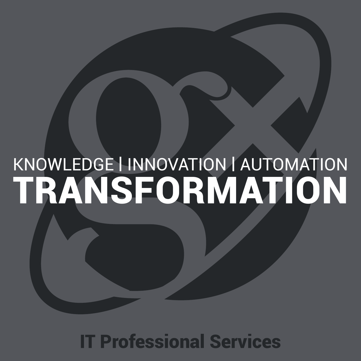# KNOWLEDGE | INNOVATION | AUTOMATION TRANSFORMATION

IT Professional Services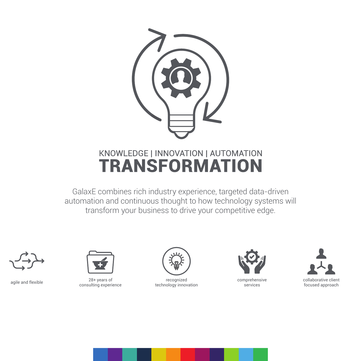

#### KNOWLEDGE | INNOVATION | AUTOMATION **TRANSFORMATION**

GalaxE combines rich industry experience, targeted data-driven automation and continuous thought to how technology systems will transform your business to drive your competitive edge.





agile and flexible 28+ years of recognized comprehensive collaborative clien<br>consulting experience technology innovation services focused approach 28+ years of consulting experience



technology innovation



comprehensive services



collaborative client<br>focused approach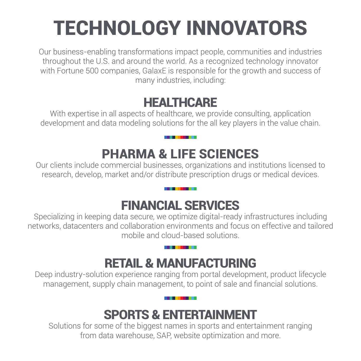## TECHNOLOGY INNOVATORS

Our business-enabling transformations impact people, communities and industries throughout the U.S. and around the world. As a recognized technology innovator with Fortune 500 companies, GalaxE is responsible for the growth and success of many industries, including:

#### **HEALTHCARE**

With expertise in all aspects of healthcare, we provide consulting, application development and data modeling solutions for the all key players in the value chain.

### PHARMA & LIFE SCIENCES

Our clients include commercial businesses, organizations and institutions licensed to research, develop, market and/or distribute prescription drugs or medical devices.

#### FINANCIAL SERVICES

Specializing in keeping data secure, we optimize digital-ready infrastructures including networks, datacenters and collaboration environments and focus on effective and tailored mobile and cloud-based solutions.

#### RETAIL & MANUFACTURING

Deep industry-solution experience ranging from portal development, product lifecycle management, supply chain management, to point of sale and financial solutions.

#### SPORTS & ENTERTAINMENT

Solutions for some of the biggest names in sports and entertainment ranging from data warehouse, SAP, website optimization and more.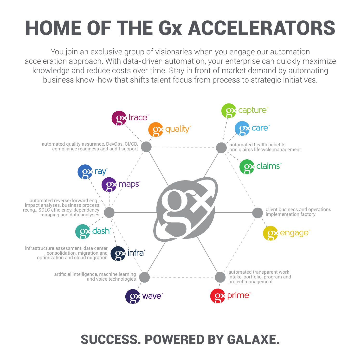### HOME OF THE Gx ACCELERATORS

You join an exclusive group of visionaries when you engage our automation acceleration approach. With data-driven automation, your enterprise can quickly maximize knowledge and reduce costs over time. Stay in front of market demand by automating business know-how that shifts talent focus from process to strategic initiatives.



#### SUCCESS. POWERED BY GALAXE.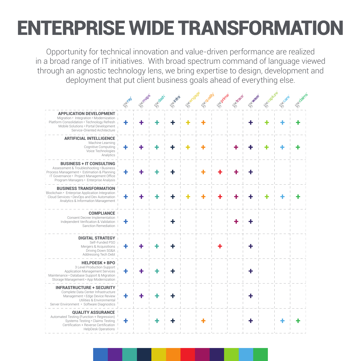### ENTERPRISE WIDE TRANSFORMATION

Opportunity for technical innovation and value-driven performance are realized in a broad range of IT initiatives. With broad spectrum command of language viewed through an agnostic technology lens, we bring expertise to design, development and deployment that put client business goals ahead of everything else.